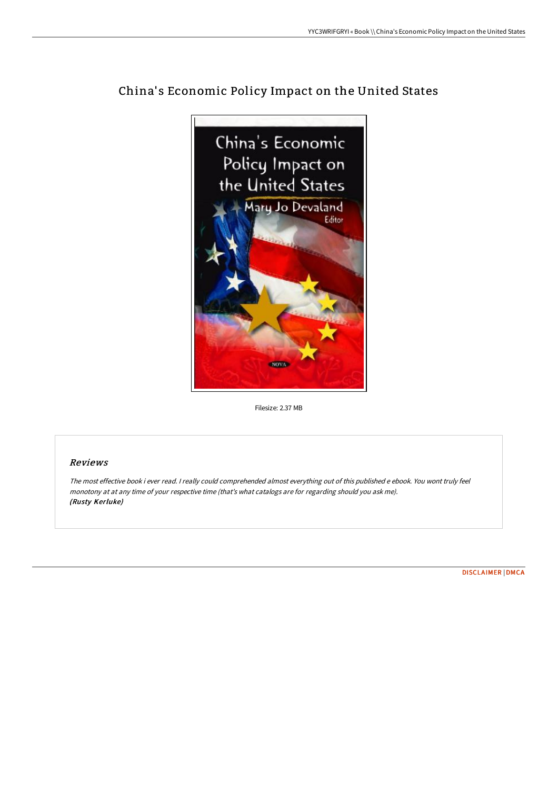

## China's Economic Policy Impact on the United States

Filesize: 2.37 MB

## Reviews

The most effective book i ever read. <sup>I</sup> really could comprehended almost everything out of this published <sup>e</sup> ebook. You wont truly feel monotony at at any time of your respective time (that's what catalogs are for regarding should you ask me). (Rusty Kerluke)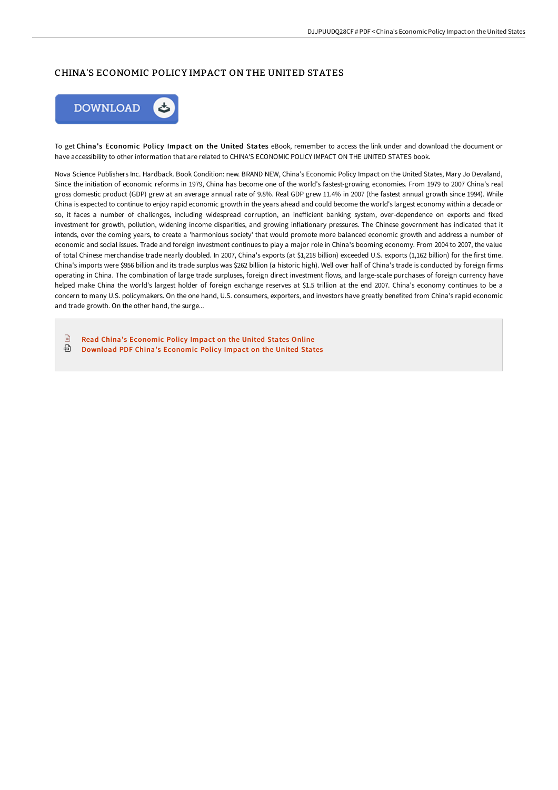## CHINA'S ECONOMIC POLICY IMPACT ON THE UNITED STATES



To get China's Economic Policy Impact on the United States eBook, remember to access the link under and download the document or have accessibility to other information that are related to CHINA'S ECONOMIC POLICY IMPACT ON THE UNITED STATES book.

Nova Science Publishers Inc. Hardback. Book Condition: new. BRAND NEW, China's Economic Policy Impact on the United States, Mary Jo Devaland, Since the initiation of economic reforms in 1979, China has become one of the world's fastest-growing economies. From 1979 to 2007 China's real gross domestic product (GDP) grew at an average annual rate of 9.8%. Real GDP grew 11.4% in 2007 (the fastest annual growth since 1994). While China is expected to continue to enjoy rapid economic growth in the years ahead and could become the world's largest economy within a decade or so, it faces a number of challenges, including widespread corruption, an inefficient banking system, over-dependence on exports and fixed investment for growth, pollution, widening income disparities, and growing inflationary pressures. The Chinese government has indicated that it intends, over the coming years, to create a 'harmonious society' that would promote more balanced economic growth and address a number of economic and social issues. Trade and foreign investment continues to play a major role in China's booming economy. From 2004 to 2007, the value of total Chinese merchandise trade nearly doubled. In 2007, China's exports (at \$1,218 billion) exceeded U.S. exports (1,162 billion) for the first time. China's imports were \$956 billion and its trade surplus was \$262 billion (a historic high). Well over half of China's trade is conducted by foreign firms operating in China. The combination of large trade surpluses, foreign direct investment flows, and large-scale purchases of foreign currency have helped make China the world's largest holder of foreign exchange reserves at \$1.5 trillion at the end 2007. China's economy continues to be a concern to many U.S. policymakers. On the one hand, U.S. consumers, exporters, and investors have greatly benefited from China's rapid economic and trade growth. On the other hand, the surge...

 $\Box$ Read China's [Economic](http://bookera.tech/china-x27-s-economic-policy-impact-on-the-united.html) Policy Impact on the United States Online ଈ [Download](http://bookera.tech/china-x27-s-economic-policy-impact-on-the-united.html) PDF China's Economic Policy Impact on the United States